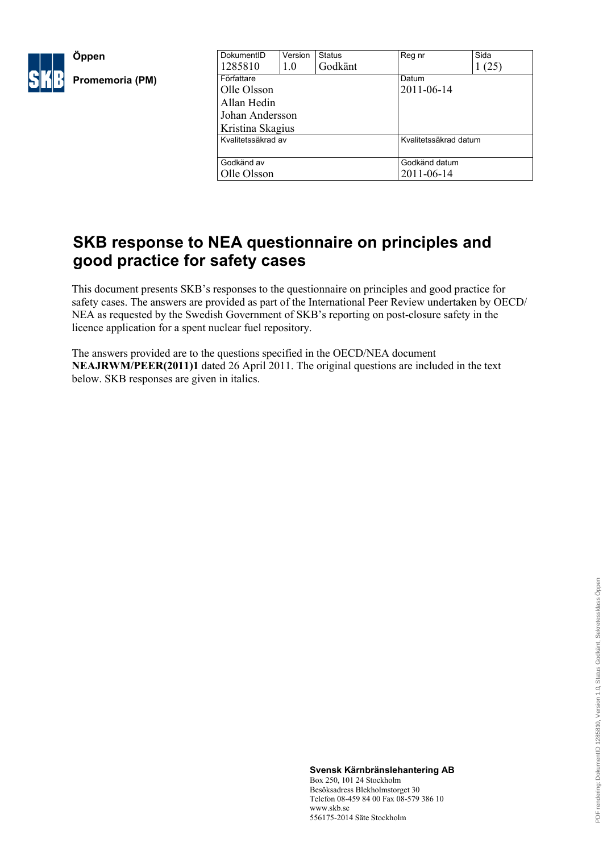

| <b>Status</b>                              | Reg nr     | Sida                  |  |
|--------------------------------------------|------------|-----------------------|--|
| Godkänt                                    |            | (25)                  |  |
|                                            | Datum      |                       |  |
|                                            | 2011-06-14 |                       |  |
|                                            |            |                       |  |
|                                            |            |                       |  |
|                                            |            |                       |  |
| Kvalitetssäkrad av                         |            | Kvalitetssäkrad datum |  |
|                                            |            |                       |  |
| Godkänd av<br>Godkänd datum<br>Olle Olsson |            |                       |  |
|                                            | 2011-06-14 |                       |  |
|                                            |            |                       |  |

# **SKB response to NEA questionnaire on principles and good practice for safety cases**

This document presents SKB's responses to the questionnaire on principles and good practice for safety cases. The answers are provided as part of the International Peer Review undertaken by OECD/ NEA as requested by the Swedish Government of SKB's reporting on post-closure safety in the licence application for a spent nuclear fuel repository.

The answers provided are to the questions specified in the OECD/NEA document **NEAJRWM/PEER(2011)1** dated 26 April 2011. The original questions are included in the text below. SKB responses are given in italics.

> **Svensk Kärnbränslehantering AB** Box 250, 101 24 Stockholm Besöksadress Blekholmstorget 30 Telefon 08-459 84 00 Fax 08-579 386 10 www.skb.se 556175-2014 Säte Stockholm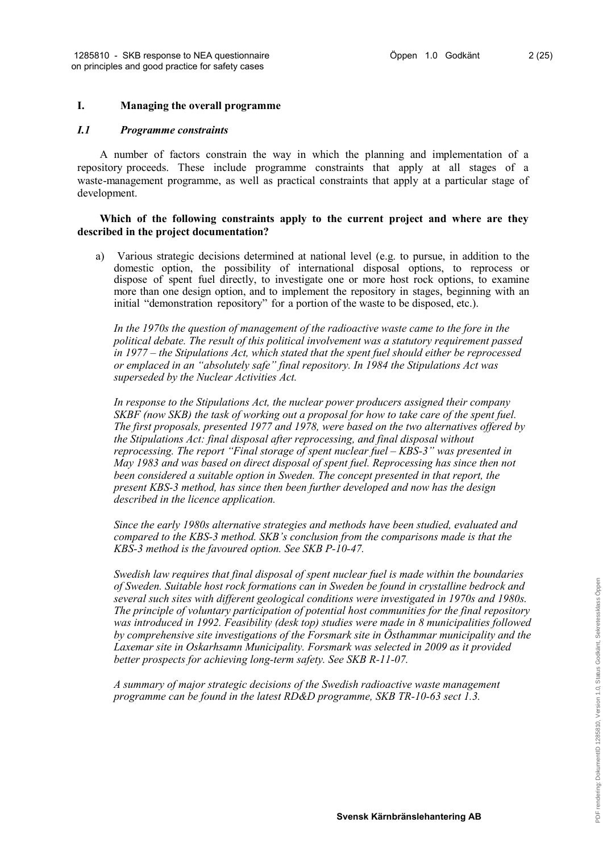### **I. Managing the overall programme**

### *I.1 Programme constraints*

A number of factors constrain the way in which the planning and implementation of a repository proceeds. These include programme constraints that apply at all stages of a waste-management programme, as well as practical constraints that apply at a particular stage of development.

### **Which of the following constraints apply to the current project and where are they described in the project documentation?**

a) Various strategic decisions determined at national level (e.g. to pursue, in addition to the domestic option, the possibility of international disposal options, to reprocess or dispose of spent fuel directly, to investigate one or more host rock options, to examine more than one design option, and to implement the repository in stages, beginning with an initial "demonstration repository" for a portion of the waste to be disposed, etc.).

*In the 1970s the question of management of the radioactive waste came to the fore in the political debate. The result of this political involvement was a statutory requirement passed in 1977 – the Stipulations Act, which stated that the spent fuel should either be reprocessed or emplaced in an "absolutely safe" final repository. In 1984 the Stipulations Act was superseded by the Nuclear Activities Act.*

*In response to the Stipulations Act, the nuclear power producers assigned their company SKBF (now SKB) the task of working out a proposal for how to take care of the spent fuel. The first proposals, presented 1977 and 1978, were based on the two alternatives offered by the Stipulations Act: final disposal after reprocessing, and final disposal without reprocessing. The report "Final storage of spent nuclear fuel – KBS-3" was presented in May 1983 and was based on direct disposal of spent fuel. Reprocessing has since then not been considered a suitable option in Sweden. The concept presented in that report, the present KBS-3 method, has since then been further developed and now has the design described in the licence application.*

*Since the early 1980s alternative strategies and methods have been studied, evaluated and compared to the KBS-3 method. SKB's conclusion from the comparisons made is that the KBS-3 method is the favoured option. See SKB P-10-47.*

*Swedish law requires that final disposal of spent nuclear fuel is made within the boundaries of Sweden. Suitable host rock formations can in Sweden be found in crystalline bedrock and several such sites with different geological conditions were investigated in 1970s and 1980s. The principle of voluntary participation of potential host communities for the final repository was introduced in 1992. Feasibility (desk top) studies were made in 8 municipalities followed by comprehensive site investigations of the Forsmark site in Östhammar municipality and the Laxemar site in Oskarhsamn Municipality. Forsmark was selected in 2009 as it provided better prospects for achieving long-term safety. See SKB R-11-07.*

*A summary of major strategic decisions of the Swedish radioactive waste management programme can be found in the latest RD&D programme, SKB TR-10-63 sect 1.3.*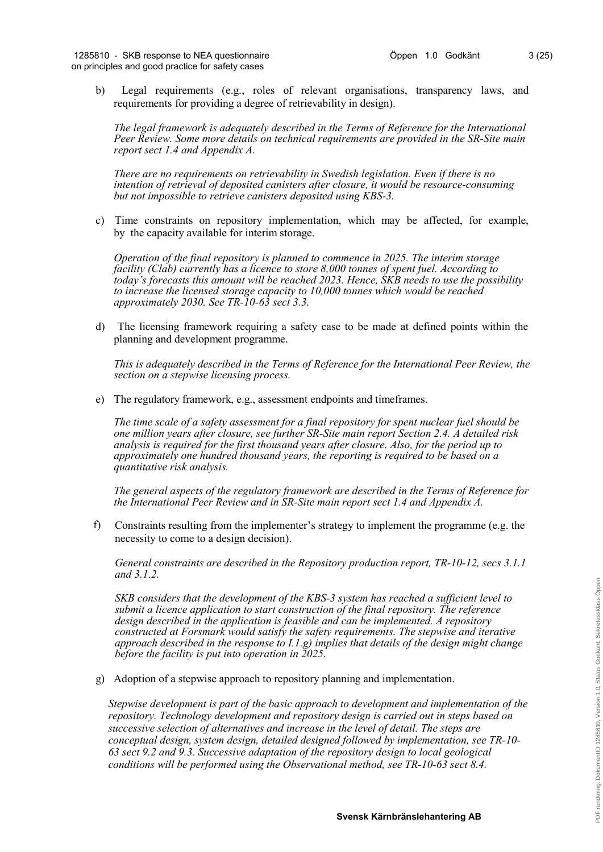b) Legal requirements (e.g., roles of relevant organisations, transparency laws, and requirements for providing a degree of retrievability in design).

*The legal framework is adequately described in the Terms of Reference for the International Peer Review. Some more details on technical requirements are provided in the SR-Site main report sect 1.4 and Appendix A.* 

*There are no requirements on retrievability in Swedish legislation. Even if there is no intention of retrieval of deposited canisters after closure, it would be resource-consuming but not impossible to retrieve canisters deposited using KBS-3.*

c) Time constraints on repository implementation, which may be affected, for example, by the capacity available for interim storage.

*Operation of the final repository is planned to commence in 2025. The interim storage facility (Clab) currently has a licence to store 8,000 tonnes of spent fuel. According to today's forecasts this amount will be reached 2023. Hence, SKB needs to use the possibility to increase the licensed storage capacity to 10,000 tonnes which would be reached approximately 2030. See TR-10-63 sect 3.3.* 

d) The licensing framework requiring a safety case to be made at defined points within the planning and development programme.

*This is adequately described in the Terms of Reference for the International Peer Review, the section on a stepwise licensing process.*

e) The regulatory framework, e.g., assessment endpoints and timeframes.

*The time scale of a safety assessment for a final repository for spent nuclear fuel should be one million years after closure, see further SR-Site main report Section 2.4. A detailed risk analysis is required for the first thousand years after closure. Also, for the period up to approximately one hundred thousand years, the reporting is required to be based on a quantitative risk analysis.*

*The general aspects of the regulatory framework are described in the Terms of Reference for the International Peer Review and in SR-Site main report sect 1.4 and Appendix A.*

f) Constraints resulting from the implementer's strategy to implement the programme (e.g. the necessity to come to a design decision).

*General constraints are described in the Repository production report, TR-10-12, secs 3.1.1 and 3.1.2.* 

*SKB considers that the development of the KBS-3 system has reached a sufficient level to submit a licence application to start construction of the final repository. The reference design described in the application is feasible and can be implemented. A repository constructed at Forsmark would satisfy the safety requirements. The stepwise and iterative approach described in the response to I.1.g) implies that details of the design might change before the facility is put into operation in 2025.*

g) Adoption of a stepwise approach to repository planning and implementation.

*Stepwise development is part of the basic approach to development and implementation of the repository. Technology development and repository design is carried out in steps based on successive selection of alternatives and increase in the level of detail. The steps are conceptual design, system design, detailed designed followed by implementation, see TR-10- 63 sect 9.2 and 9.3. Successive adaptation of the repository design to local geological conditions will be performed using the Observational method, see TR-10-63 sect 8.4.*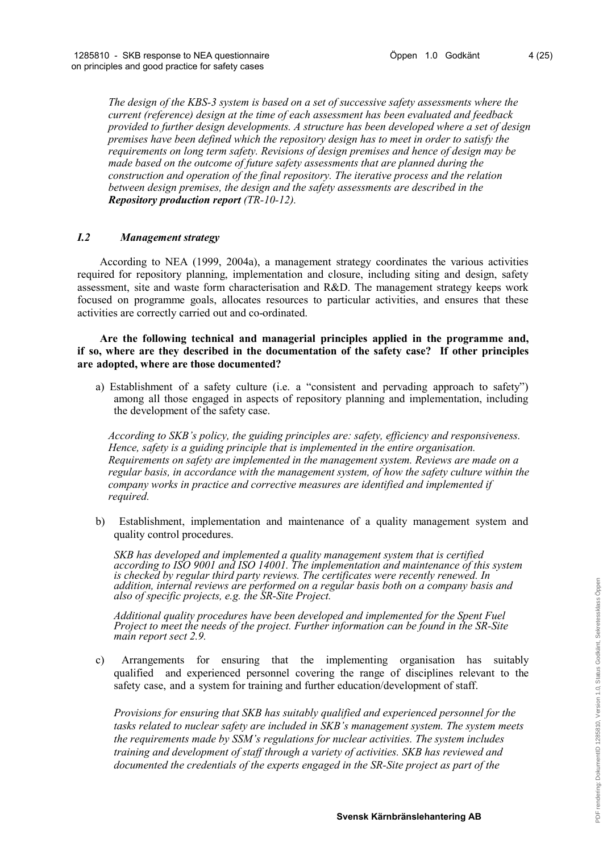*The design of the KBS-3 system is based on a set of successive safety assessments where the current (reference) design at the time of each assessment has been evaluated and feedback provided to further design developments. A structure has been developed where a set of design premises have been defined which the repository design has to meet in order to satisfy the requirements on long term safety. Revisions of design premises and hence of design may be made based on the outcome of future safety assessments that are planned during the construction and operation of the final repository. The iterative process and the relation between design premises, the design and the safety assessments are described in the Repository production report (TR-10-12).*

# *I.2 Management strategy*

According to NEA (1999, 2004a), a management strategy coordinates the various activities required for repository planning, implementation and closure, including siting and design, safety assessment, site and waste form characterisation and R&D. The management strategy keeps work focused on programme goals, allocates resources to particular activities, and ensures that these activities are correctly carried out and co-ordinated.

**Are the following technical and managerial principles applied in the programme and, if so, where are they described in the documentation of the safety case? If other principles are adopted, where are those documented?**

a) Establishment of a safety culture (i.e. a "consistent and pervading approach to safety") among all those engaged in aspects of repository planning and implementation, including the development of the safety case.

*According to SKB's policy, the guiding principles are: safety, efficiency and responsiveness. Hence, safety is a guiding principle that is implemented in the entire organisation. Requirements on safety are implemented in the management system. Reviews are made on a regular basis, in accordance with the management system, of how the safety culture within the company works in practice and corrective measures are identified and implemented if required.*

b) Establishment, implementation and maintenance of a quality management system and quality control procedures.

*SKB has developed and implemented a quality management system that is certified according to ISO 9001 and ISO 14001. The implementation and maintenance of this system is checked by regular third party reviews. The certificates were recently renewed. In addition, internal reviews are performed on a regular basis both on a company basis and also of specific projects, e.g. the SR-Site Project.*

*Additional quality procedures have been developed and implemented for the Spent Fuel Project to meet the needs of the project. Further information can be found in the SR-Site main report sect 2.9.* 

c) Arrangements for ensuring that the implementing organisation has suitably qualified and experienced personnel covering the range of disciplines relevant to the safety case, and a system for training and further education/development of staff.

*Provisions for ensuring that SKB has suitably qualified and experienced personnel for the tasks related to nuclear safety are included in SKB's management system. The system meets the requirements made by SSM's regulations for nuclear activities. The system includes training and development of staff through a variety of activities. SKB has reviewed and documented the credentials of the experts engaged in the SR-Site project as part of the*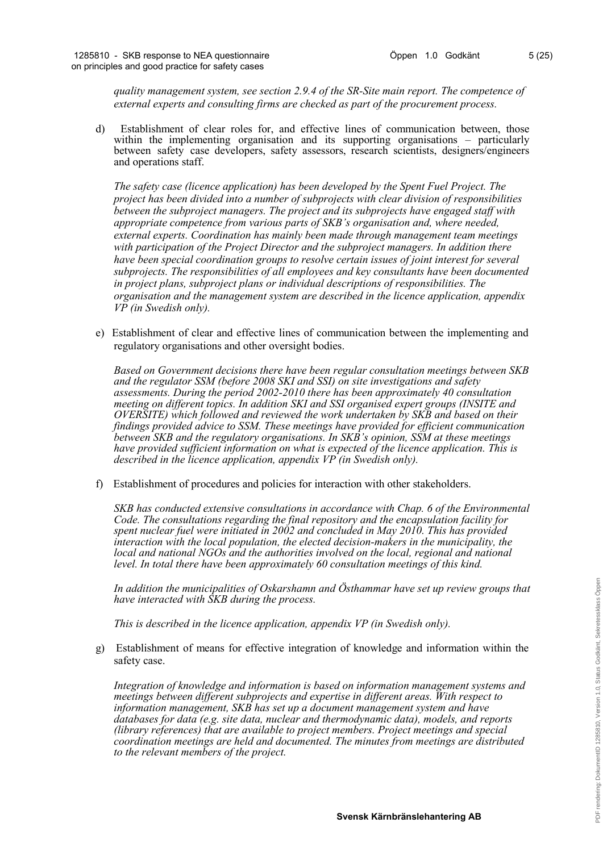*quality management system, see section 2.9.4 of the SR-Site main report. The competence of external experts and consulting firms are checked as part of the procurement process.*

d) Establishment of clear roles for, and effective lines of communication between, those within the implementing organisation and its supporting organisations – particularly between safety case developers, safety assessors, research scientists, designers/engineers and operations staff.

*The safety case (licence application) has been developed by the Spent Fuel Project. The project has been divided into a number of subprojects with clear division of responsibilities between the subproject managers. The project and its subprojects have engaged staff with appropriate competence from various parts of SKB's organisation and, where needed, external experts. Coordination has mainly been made through management team meetings with participation of the Project Director and the subproject managers. In addition there have been special coordination groups to resolve certain issues of joint interest for several subprojects. The responsibilities of all employees and key consultants have been documented in project plans, subproject plans or individual descriptions of responsibilities. The organisation and the management system are described in the licence application, appendix VP (in Swedish only).* 

e) Establishment of clear and effective lines of communication between the implementing and regulatory organisations and other oversight bodies.

*Based on Government decisions there have been regular consultation meetings between SKB and the regulator SSM (before 2008 SKI and SSI) on site investigations and safety assessments. During the period 2002-2010 there has been approximately 40 consultation meeting on different topics. In addition SKI and SSI organised expert groups (INSITE and OVERSITE) which followed and reviewed the work undertaken by SKB and based on their findings provided advice to SSM. These meetings have provided for efficient communication between SKB and the regulatory organisations. In SKB's opinion, SSM at these meetings have provided sufficient information on what is expected of the licence application. This is described in the licence application, appendix VP (in Swedish only).* 

f) Establishment of procedures and policies for interaction with other stakeholders.

*SKB has conducted extensive consultations in accordance with Chap. 6 of the Environmental Code. The consultations regarding the final repository and the encapsulation facility for spent nuclear fuel were initiated in 2002 and concluded in May 2010. This has provided interaction with the local population, the elected decision-makers in the municipality, the local and national NGOs and the authorities involved on the local, regional and national level. In total there have been approximately 60 consultation meetings of this kind.*

*In addition the municipalities of Oskarshamn and Östhammar have set up review groups that have interacted with SKB during the process.*

*This is described in the licence application, appendix VP (in Swedish only).*

g) Establishment of means for effective integration of knowledge and information within the safety case.

*Integration of knowledge and information is based on information management systems and meetings between different subprojects and expertise in different areas. With respect to information management, SKB has set up a document management system and have databases for data (e.g. site data, nuclear and thermodynamic data), models, and reports (library references) that are available to project members. Project meetings and special coordination meetings are held and documented. The minutes from meetings are distributed to the relevant members of the project.*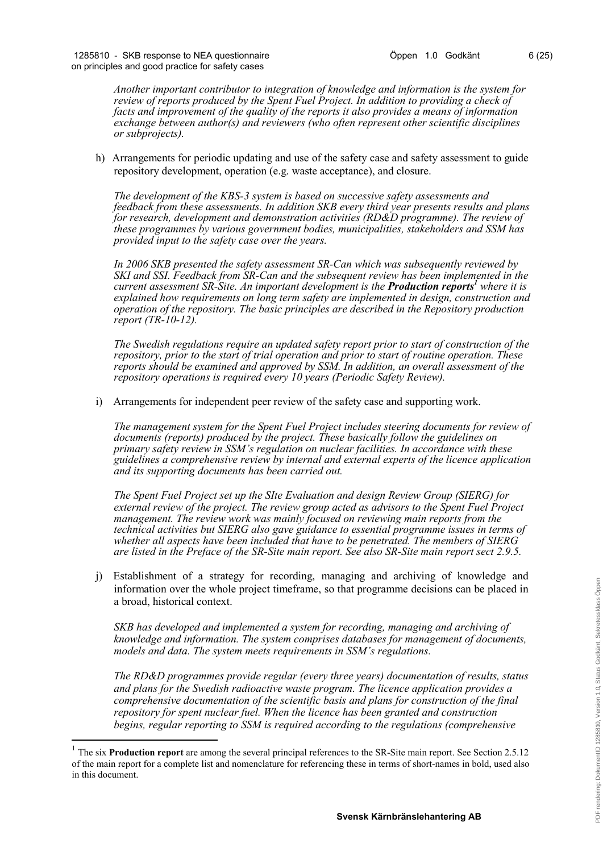*Another important contributor to integration of knowledge and information is the system for review of reports produced by the Spent Fuel Project. In addition to providing a check of facts and improvement of the quality of the reports it also provides a means of information exchange between author(s) and reviewers (who often represent other scientific disciplines or subprojects).*

h) Arrangements for periodic updating and use of the safety case and safety assessment to guide repository development, operation (e.g. waste acceptance), and closure.

*The development of the KBS-3 system is based on successive safety assessments and feedback from these assessments. In addition SKB every third year presents results and plans for research, development and demonstration activities (RD&D programme). The review of these programmes by various government bodies, municipalities, stakeholders and SSM has provided input to the safety case over the years.* 

*In 2006 SKB presented the safety assessment SR-Can which was subsequently reviewed by SKI and SSI. Feedback from SR-Can and the subsequent review has been imple[men](#page-5-0)ted in the current assessment SR-Site. An important development is the Production reports <sup>1</sup> where it is explained how requirements on long term safety are implemented in design, construction and operation of the repository. The basic principles are described in the Repository production report (TR-10-12).*

*The Swedish regulations require an updated safety report prior to start of construction of the repository, prior to the start of trial operation and prior to start of routine operation. These reports should be examined and approved by SSM. In addition, an overall assessment of the repository operations is required every 10 years (Periodic Safety Review).*

i) Arrangements for independent peer review of the safety case and supporting work.

*The management system for the Spent Fuel Project includes steering documents for review of documents (reports) produced by the project. These basically follow the guidelines on primary safety review in SSM's regulation on nuclear facilities. In accordance with these guidelines a comprehensive review by internal and external experts of the licence application and its supporting documents has been carried out.*

*The Spent Fuel Project set up the SIte Evaluation and design Review Group (SIERG) for external review of the project. The review group acted as advisors to the Spent Fuel Project management. The review work was mainly focused on reviewing main reports from the technical activities but SIERG also gave guidance to essential programme issues in terms of whether all aspects have been included that have to be penetrated. The members of SIERG are listed in the Preface of the SR-Site main report. See also SR-Site main report sect 2.9.5.*

j) Establishment of a strategy for recording, managing and archiving of knowledge and information over the whole project timeframe, so that programme decisions can be placed in a broad, historical context.

*SKB has developed and implemented a system for recording, managing and archiving of knowledge and information. The system comprises databases for management of documents, models and data. The system meets requirements in SSM's regulations.* 

*The RD&D programmes provide regular (every three years) documentation of results, status and plans for the Swedish radioactive waste program. The licence application provides a comprehensive documentation of the scientific basis and plans for construction of the final repository for spent nuclear fuel. When the licence has been granted and construction begins, regular reporting to SSM is required according to the regulations (comprehensive* 

1

<span id="page-5-0"></span><sup>&</sup>lt;sup>1</sup> The six **Production report** are among the several principal references to the SR-Site main report. See Section 2.5.12 of the main report for a complete list and nomenclature for referencing these in terms of short-names in bold, used also in this document.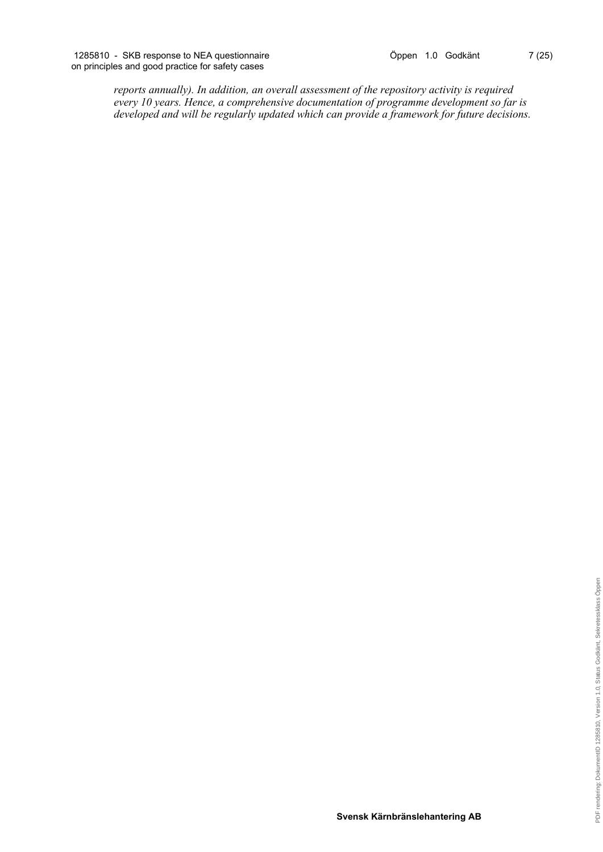*reports annually). In addition, an overall assessment of the repository activity is required every 10 years. Hence, a comprehensive documentation of programme development so far is developed and will be regularly updated which can provide a framework for future decisions.*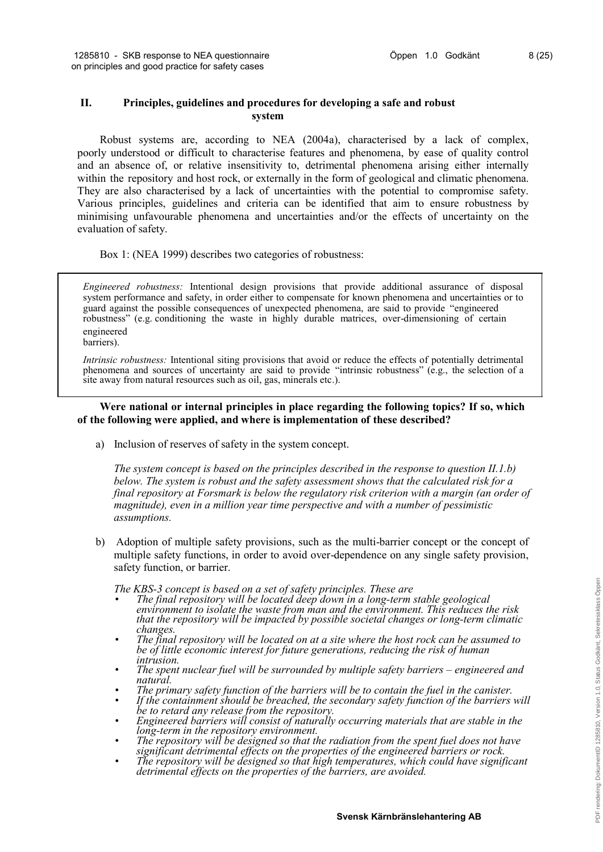# **II. Principles, guidelines and procedures for developing a safe and robust system**

Robust systems are, according to NEA (2004a), characterised by a lack of complex, poorly understood or difficult to characterise features and phenomena, by ease of quality control and an absence of, or relative insensitivity to, detrimental phenomena arising either internally within the repository and host rock, or externally in the form of geological and climatic phenomena. They are also characterised by a lack of uncertainties with the potential to compromise safety. Various principles, guidelines and criteria can be identified that aim to ensure robustness by minimising unfavourable phenomena and uncertainties and/or the effects of uncertainty on the evaluation of safety.

Box 1: (NEA 1999) describes two categories of robustness:

*Engineered robustness:* Intentional design provisions that provide additional assurance of disposal system performance and safety, in order either to compensate for known phenomena and uncertainties or to guard against the possible consequences of unexpected phenomena, are said to provide "engineered robustness" (e.g. conditioning the waste in highly durable matrices, over-dimensioning of certain engineered

barriers).

*Intrinsic robustness:* Intentional siting provisions that avoid or reduce the effects of potentially detrimental phenomena and sources of uncertainty are said to provide "intrinsic robustness" (e.g., the selection of a site away from natural resources such as oil, gas, minerals etc.).

# **Were national or internal principles in place regarding the following topics? If so, which of the following were applied, and where is implementation of these described?**

a) Inclusion of reserves of safety in the system concept.

*The system concept is based on the principles described in the response to question II.1.b) below. The system is robust and the safety assessment shows that the calculated risk for a final repository at Forsmark is below the regulatory risk criterion with a margin (an order of magnitude), even in a million year time perspective and with a number of pessimistic assumptions.*

b) Adoption of multiple safety provisions, such as the multi-barrier concept or the concept of multiple safety functions, in order to avoid over-dependence on any single safety provision, safety function, or barrier.

*The KBS-3 concept is based on a set of safety principles. These are*

- *The final repository will be located deep down in a long-term stable geological environment to isolate the waste from man and the environment. This reduces the risk that the repository will be impacted by possible societal changes or long-term climatic changes.*
- *The final repository will be located on at a site where the host rock can be assumed to be of little economic interest for future generations, reducing the risk of human intrusion.*
- *The spent nuclear fuel will be surrounded by multiple safety barriers – engineered and natural.*
- *The primary safety function of the barriers will be to contain the fuel in the canister.*
- *If the containment should be breached, the secondary safety function of the barriers will be to retard any release from the repository.*
- *Engineered barriers will consist of naturally occurring materials that are stable in the long-term in the repository environment.*
- *The repository will be designed so that the radiation from the spent fuel does not have significant detrimental effects on the properties of the engineered barriers or rock.*
- *The repository will be designed so that high temperatures, which could have significant detrimental effects on the properties of the barriers, are avoided.*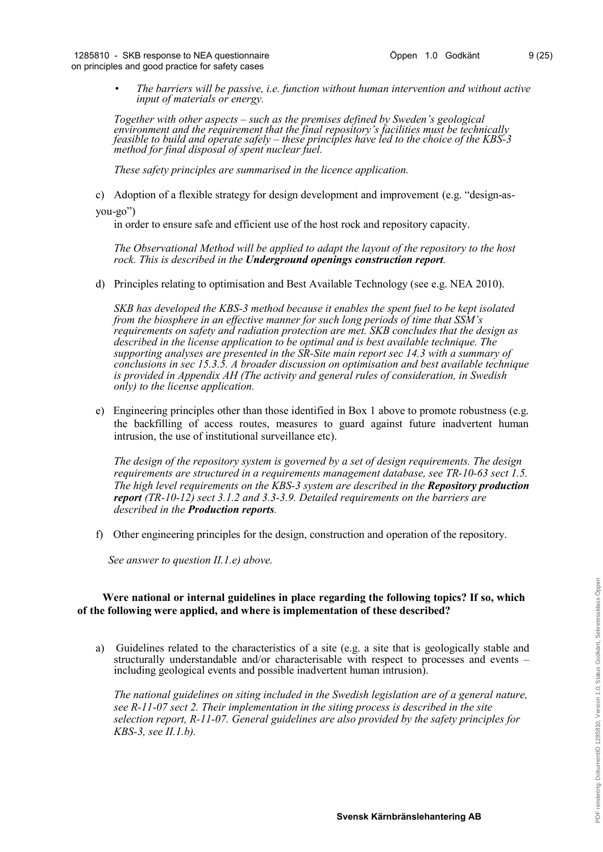• *The barriers will be passive, i.e. function without human intervention and without active input of materials or energy.*

*Together with other aspects – such as the premises defined by Sweden's geological environment and the requirement that the final repository's facilities must be technically feasible to build and operate safely – these principles have led to the choice of the KBS-3 method for final disposal of spent nuclear fuel.*

*These safety principles are summarised in the licence application.*

c) Adoption of a flexible strategy for design development and improvement (e.g. "design-as-

you-go")

in order to ensure safe and efficient use of the host rock and repository capacity.

*The Observational Method will be applied to adapt the layout of the repository to the host rock. This is described in the Underground openings construction report.*

d) Principles relating to optimisation and Best Available Technology (see e.g. NEA 2010).

*SKB has developed the KBS-3 method because it enables the spent fuel to be kept isolated from the biosphere in an effective manner for such long periods of time that SSM's requirements on safety and radiation protection are met. SKB concludes that the design as described in the license application to be optimal and is best available technique. The supporting analyses are presented in the SR-Site main report sec 14.3 with a summary of conclusions in sec 15.3.5. A broader discussion on optimisation and best available technique is provided in Appendix AH (The activity and general rules of consideration, in Swedish only) to the license application.*

e) Engineering principles other than those identified in Box 1 above to promote robustness (e.g. the backfilling of access routes, measures to guard against future inadvertent human intrusion, the use of institutional surveillance etc).

*The design of the repository system is governed by a set of design requirements. The design requirements are structured in a requirements management database, see TR-10-63 sect 1.5. The high level requirements on the KBS-3 system are described in the <i>Repository production report (TR-10-12) sect 3.1.2 and 3.3-3.9. Detailed requirements on the barriers are described in the Production reports.*

f) Other engineering principles for the design, construction and operation of the repository.

*See answer to question II.1.e) above.*

### **Were national or internal guidelines in place regarding the following topics? If so, which of the following were applied, and where is implementation of these described?**

a) Guidelines related to the characteristics of a site (e.g. a site that is geologically stable and structurally understandable and/or characterisable with respect to processes and events – including geological events and possible inadvertent human intrusion).

*The national guidelines on siting included in the Swedish legislation are of a general nature, see R-11-07 sect 2. Their implementation in the siting process is described in the site selection report, R-11-07. General guidelines are also provided by the safety principles for KBS-3, see II.1.b).*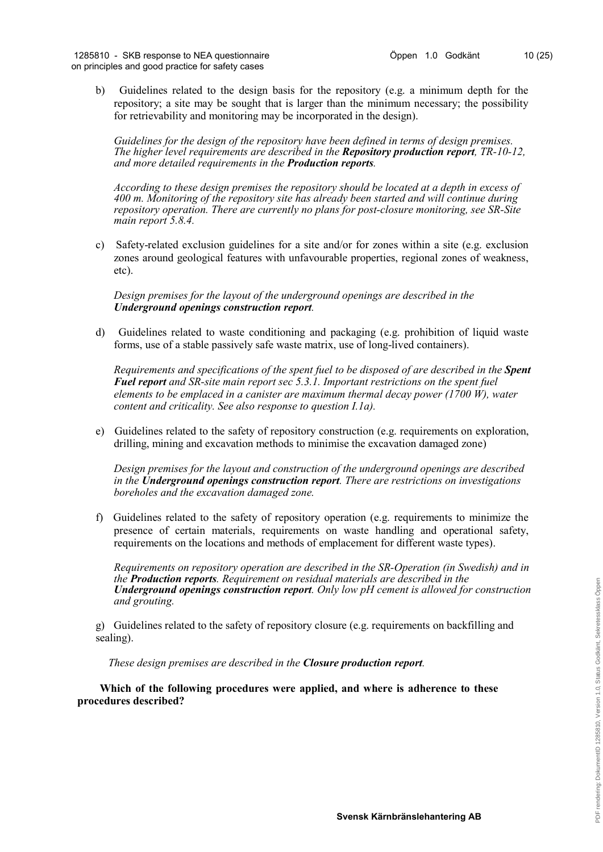b) Guidelines related to the design basis for the repository (e.g. a minimum depth for the repository; a site may be sought that is larger than the minimum necessary; the possibility for retrievability and monitoring may be incorporated in the design).

*Guidelines for the design of the repository have been defined in terms of design premises. The higher level requirements are described in the Repository production report, TR-10-12, and more detailed requirements in the Production reports.* 

*According to these design premises the repository should be located at a depth in excess of 400 m. Monitoring of the repository site has already been started and will continue during repository operation. There are currently no plans for post-closure monitoring, see SR-Site main report 5.8.4.*

c) Safety-related exclusion guidelines for a site and/or for zones within a site (e.g. exclusion zones around geological features with unfavourable properties, regional zones of weakness, etc).

*Design premises for the layout of the underground openings are described in the Underground openings construction report.*

d) Guidelines related to waste conditioning and packaging (e.g. prohibition of liquid waste forms, use of a stable passively safe waste matrix, use of long-lived containers).

*Requirements and specifications of the spent fuel to be disposed of are described in the Spent Fuel report and SR-site main report sec 5.3.1. Important restrictions on the spent fuel elements to be emplaced in a canister are maximum thermal decay power (1700 W), water content and criticality. See also response to question I.1a).*

e) Guidelines related to the safety of repository construction (e.g. requirements on exploration, drilling, mining and excavation methods to minimise the excavation damaged zone)

*Design premises for the layout and construction of the underground openings are described in the Underground openings construction report. There are restrictions on investigations boreholes and the excavation damaged zone.*

f) Guidelines related to the safety of repository operation (e.g. requirements to minimize the presence of certain materials, requirements on waste handling and operational safety, requirements on the locations and methods of emplacement for different waste types).

*Requirements on repository operation are described in the SR-Operation (in Swedish) and in the Production reports. Requirement on residual materials are described in the Underground openings construction report. Only low pH cement is allowed for construction and grouting.* 

g) Guidelines related to the safety of repository closure (e.g. requirements on backfilling and sealing).

*These design premises are described in the Closure production report.* 

**Which of the following procedures were applied, and where is adherence to these procedures described?**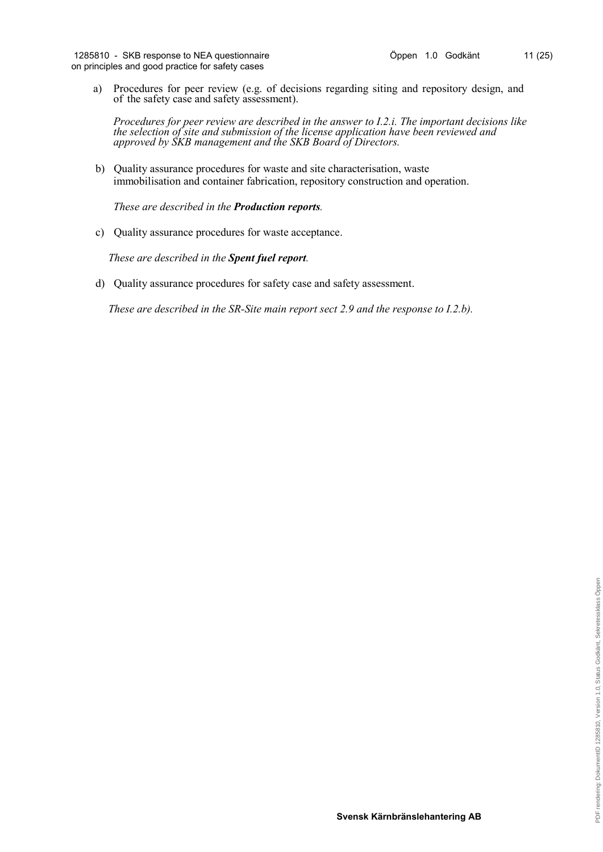a) Procedures for peer review (e.g. of decisions regarding siting and repository design, and of the safety case and safety assessment).

*Procedures for peer review are described in the answer to I.2.i. The important decisions like the selection of site and submission of the license application have been reviewed and approved by SKB management and the SKB Board of Directors.*

b) Quality assurance procedures for waste and site characterisation, waste immobilisation and container fabrication, repository construction and operation.

*These are described in the Production reports.*

c) Quality assurance procedures for waste acceptance.

*These are described in the Spent fuel report.*

d) Quality assurance procedures for safety case and safety assessment.

*These are described in the SR-Site main report sect 2.9 and the response to I.2.b).*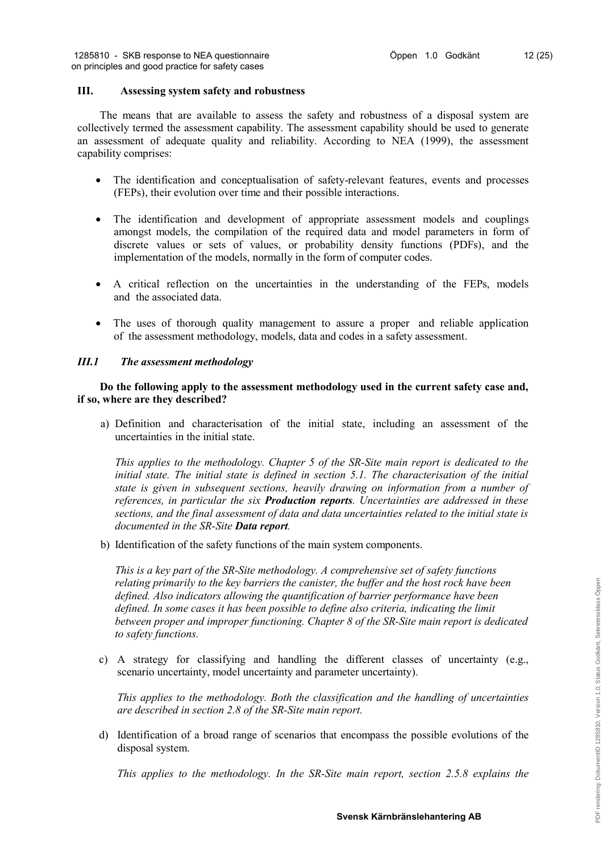# **III. Assessing system safety and robustness**

The means that are available to assess the safety and robustness of a disposal system are collectively termed the assessment capability. The assessment capability should be used to generate an assessment of adequate quality and reliability. According to NEA (1999), the assessment capability comprises:

- The identification and conceptualisation of safety-relevant features, events and processes (FEPs), their evolution over time and their possible interactions.
- The identification and development of appropriate assessment models and couplings amongst models, the compilation of the required data and model parameters in form of discrete values or sets of values, or probability density functions (PDFs), and the implementation of the models, normally in the form of computer codes.
- A critical reflection on the uncertainties in the understanding of the FEPs, models and the associated data.
- The uses of thorough quality management to assure a proper and reliable application of the assessment methodology, models, data and codes in a safety assessment.

# *III.1 The assessment methodology*

**Do the following apply to the assessment methodology used in the current safety case and, if so, where are they described?**

a) Definition and characterisation of the initial state, including an assessment of the uncertainties in the initial state.

*This applies to the methodology. Chapter 5 of the SR-Site main report is dedicated to the initial state. The initial state is defined in section 5.1. The characterisation of the initial state is given in subsequent sections, heavily drawing on information from a number of references, in particular the six Production reports. Uncertainties are addressed in these sections, and the final assessment of data and data uncertainties related to the initial state is documented in the SR-Site Data report.*

b) Identification of the safety functions of the main system components.

*This is a key part of the SR-Site methodology. A comprehensive set of safety functions relating primarily to the key barriers the canister, the buffer and the host rock have been defined. Also indicators allowing the quantification of barrier performance have been defined. In some cases it has been possible to define also criteria, indicating the limit between proper and improper functioning. Chapter 8 of the SR-Site main report is dedicated to safety functions.*

c) A strategy for classifying and handling the different classes of uncertainty (e.g., scenario uncertainty, model uncertainty and parameter uncertainty).

*This applies to the methodology. Both the classification and the handling of uncertainties are described in section 2.8 of the SR-Site main report.*

d) Identification of a broad range of scenarios that encompass the possible evolutions of the disposal system.

*This applies to the methodology. In the SR-Site main report, section 2.5.8 explains the*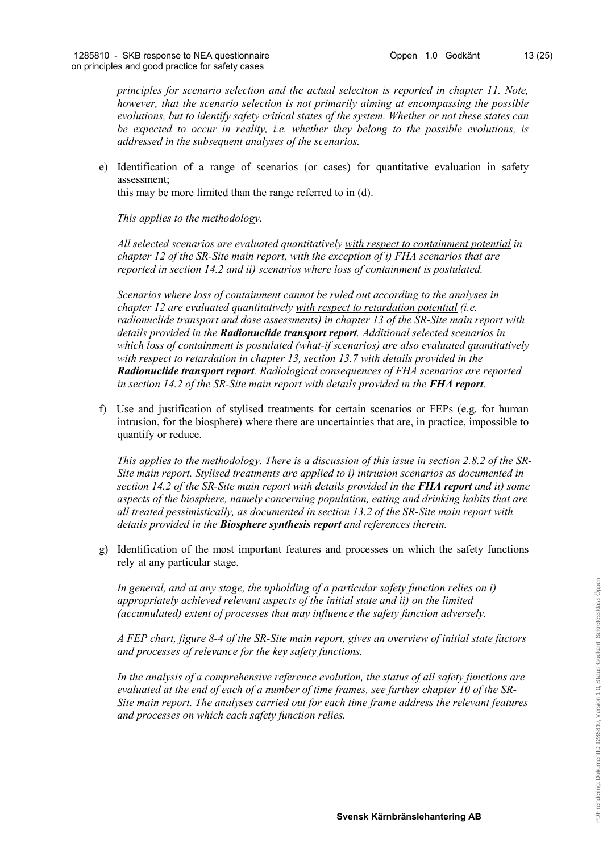*principles for scenario selection and the actual selection is reported in chapter 11. Note, however, that the scenario selection is not primarily aiming at encompassing the possible evolutions, but to identify safety critical states of the system. Whether or not these states can be expected to occur in reality, i.e. whether they belong to the possible evolutions, is addressed in the subsequent analyses of the scenarios.*

e) Identification of a range of scenarios (or cases) for quantitative evaluation in safety assessment;

this may be more limited than the range referred to in (d).

*This applies to the methodology.* 

*All selected scenarios are evaluated quantitatively with respect to containment potential in chapter 12 of the SR-Site main report, with the exception of i) FHA scenarios that are reported in section 14.2 and ii) scenarios where loss of containment is postulated.* 

*Scenarios where loss of containment cannot be ruled out according to the analyses in chapter 12 are evaluated quantitatively with respect to retardation potential (i.e. radionuclide transport and dose assessments) in chapter 13 of the SR-Site main report with details provided in the Radionuclide transport report. Additional selected scenarios in which loss of containment is postulated (what-if scenarios) are also evaluated quantitatively with respect to retardation in chapter 13, section 13.7 with details provided in the Radionuclide transport report. Radiological consequences of FHA scenarios are reported in section 14.2 of the SR-Site main report with details provided in the FHA report.* 

f) Use and justification of stylised treatments for certain scenarios or FEPs (e.g. for human intrusion, for the biosphere) where there are uncertainties that are, in practice, impossible to quantify or reduce.

*This applies to the methodology. There is a discussion of this issue in section 2.8.2 of the SR-Site main report. Stylised treatments are applied to i) intrusion scenarios as documented in section 14.2 of the SR-Site main report with details provided in the FHA report and ii) some aspects of the biosphere, namely concerning population, eating and drinking habits that are all treated pessimistically, as documented in section 13.2 of the SR-Site main report with details provided in the Biosphere synthesis report and references therein.*

g) Identification of the most important features and processes on which the safety functions rely at any particular stage.

*In general, and at any stage, the upholding of a particular safety function relies on i) appropriately achieved relevant aspects of the initial state and ii) on the limited (accumulated) extent of processes that may influence the safety function adversely.* 

*A FEP chart, figure 8-4 of the SR-Site main report, gives an overview of initial state factors and processes of relevance for the key safety functions.*

*In the analysis of a comprehensive reference evolution, the status of all safety functions are evaluated at the end of each of a number of time frames, see further chapter 10 of the SR-Site main report. The analyses carried out for each time frame address the relevant features and processes on which each safety function relies.*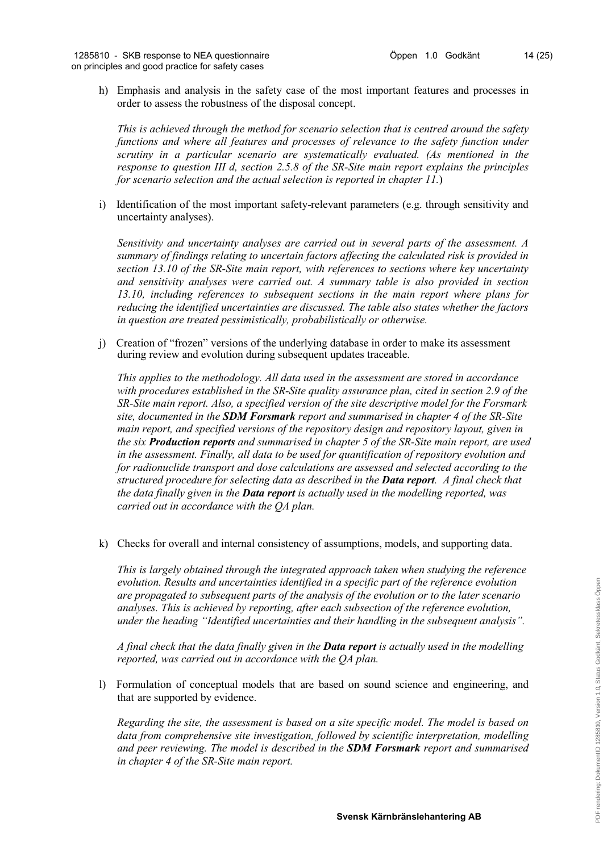h) Emphasis and analysis in the safety case of the most important features and processes in order to assess the robustness of the disposal concept.

*This is achieved through the method for scenario selection that is centred around the safety functions and where all features and processes of relevance to the safety function under scrutiny in a particular scenario are systematically evaluated. (As mentioned in the response to question III d, section 2.5.8 of the SR-Site main report explains the principles for scenario selection and the actual selection is reported in chapter 11.*)

i) Identification of the most important safety-relevant parameters (e.g. through sensitivity and uncertainty analyses).

*Sensitivity and uncertainty analyses are carried out in several parts of the assessment. A summary of findings relating to uncertain factors affecting the calculated risk is provided in section 13.10 of the SR-Site main report, with references to sections where key uncertainty and sensitivity analyses were carried out. A summary table is also provided in section 13.10, including references to subsequent sections in the main report where plans for reducing the identified uncertainties are discussed. The table also states whether the factors in question are treated pessimistically, probabilistically or otherwise.*

j) Creation of "frozen" versions of the underlying database in order to make its assessment during review and evolution during subsequent updates traceable.

*This applies to the methodology. All data used in the assessment are stored in accordance with procedures established in the SR-Site quality assurance plan, cited in section 2.9 of the SR-Site main report. Also, a specified version of the site descriptive model for the Forsmark site, documented in the SDM Forsmark report and summarised in chapter 4 of the SR-Site main report, and specified versions of the repository design and repository layout, given in the six Production reports and summarised in chapter 5 of the SR-Site main report, are used in the assessment. Finally, all data to be used for quantification of repository evolution and for radionuclide transport and dose calculations are assessed and selected according to the structured procedure for selecting data as described in the Data report. A final check that the data finally given in the Data report is actually used in the modelling reported, was carried out in accordance with the QA plan.*

k) Checks for overall and internal consistency of assumptions, models, and supporting data.

*This is largely obtained through the integrated approach taken when studying the reference evolution. Results and uncertainties identified in a specific part of the reference evolution are propagated to subsequent parts of the analysis of the evolution or to the later scenario analyses. This is achieved by reporting, after each subsection of the reference evolution, under the heading "Identified uncertainties and their handling in the subsequent analysis".* 

*A final check that the data finally given in the Data report is actually used in the modelling reported, was carried out in accordance with the QA plan.*

l) Formulation of conceptual models that are based on sound science and engineering, and that are supported by evidence.

*Regarding the site, the assessment is based on a site specific model. The model is based on data from comprehensive site investigation, followed by scientific interpretation, modelling and peer reviewing. The model is described in the SDM Forsmark report and summarised in chapter 4 of the SR-Site main report.*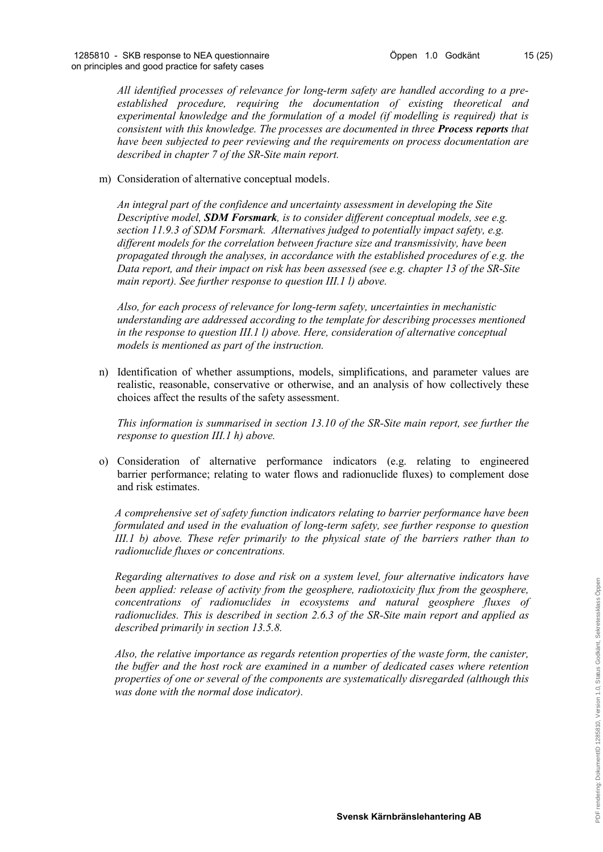*All identified processes of relevance for long-term safety are handled according to a preestablished procedure, requiring the documentation of existing theoretical and experimental knowledge and the formulation of a model (if modelling is required) that is consistent with this knowledge. The processes are documented in three Process reports that have been subjected to peer reviewing and the requirements on process documentation are described in chapter 7 of the SR-Site main report.*

# m) Consideration of alternative conceptual models.

*An integral part of the confidence and uncertainty assessment in developing the Site Descriptive model, SDM Forsmark, is to consider different conceptual models, see e.g. section 11.9.3 of SDM Forsmark. Alternatives judged to potentially impact safety, e.g. different models for the correlation between fracture size and transmissivity, have been propagated through the analyses, in accordance with the established procedures of e.g. the Data report, and their impact on risk has been assessed (see e.g. chapter 13 of the SR-Site main report). See further response to question III.1 l) above.* 

*Also, for each process of relevance for long-term safety, uncertainties in mechanistic understanding are addressed according to the template for describing processes mentioned in the response to question III.1 l) above. Here, consideration of alternative conceptual models is mentioned as part of the instruction.*

n) Identification of whether assumptions, models, simplifications, and parameter values are realistic, reasonable, conservative or otherwise, and an analysis of how collectively these choices affect the results of the safety assessment.

*This information is summarised in section 13.10 of the SR-Site main report, see further the response to question III.1 h) above.*

o) Consideration of alternative performance indicators (e.g. relating to engineered barrier performance; relating to water flows and radionuclide fluxes) to complement dose and risk estimates.

*A comprehensive set of safety function indicators relating to barrier performance have been formulated and used in the evaluation of long-term safety, see further response to question III.1 b) above. These refer primarily to the physical state of the barriers rather than to radionuclide fluxes or concentrations.*

*Regarding alternatives to dose and risk on a system level, four alternative indicators have been applied: release of activity from the geosphere, radiotoxicity flux from the geosphere, concentrations of radionuclides in ecosystems and natural geosphere fluxes of radionuclides. This is described in section 2.6.3 of the SR-Site main report and applied as described primarily in section 13.5.8.*

*Also, the relative importance as regards retention properties of the waste form, the canister, the buffer and the host rock are examined in a number of dedicated cases where retention properties of one or several of the components are systematically disregarded (although this was done with the normal dose indicator).*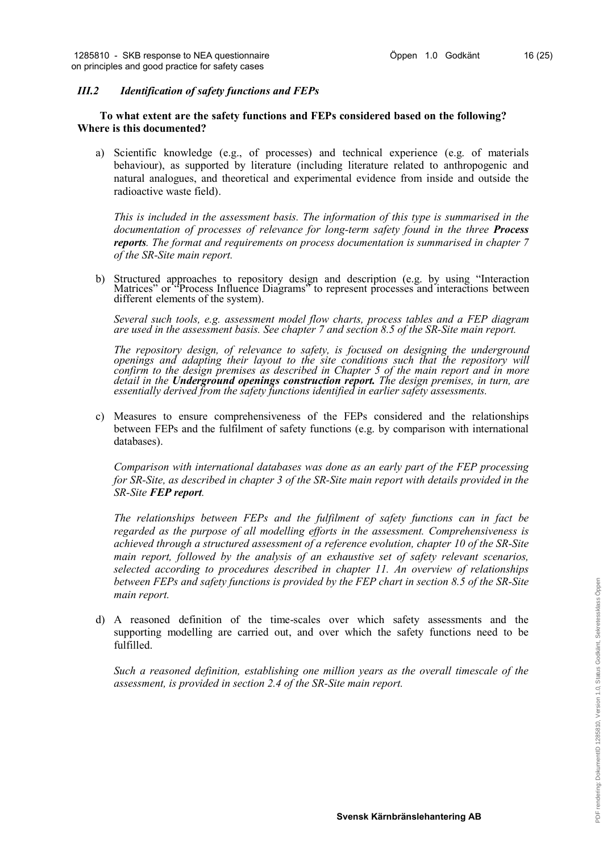# *III.2 Identification of safety functions and FEPs*

# **To what extent are the safety functions and FEPs considered based on the following? Where is this documented?**

a) Scientific knowledge (e.g., of processes) and technical experience (e.g. of materials behaviour), as supported by literature (including literature related to anthropogenic and natural analogues, and theoretical and experimental evidence from inside and outside the radioactive waste field).

*This is included in the assessment basis. The information of this type is summarised in the documentation of processes of relevance for long-term safety found in the three Process reports. The format and requirements on process documentation is summarised in chapter 7 of the SR-Site main report.*

b) Structured approaches to repository design and description (e.g. by using "Interaction Matrices" or "Process Influence Diagrams" to represent processes and interactions between different elements of the system).

*Several such tools, e.g. assessment model flow charts, process tables and a FEP diagram are used in the assessment basis. See chapter 7 and section 8.5 of the SR-Site main report.*

*The repository design, of relevance to safety, is focused on designing the underground openings and adapting their layout to the site conditions such that the repository will confirm to the design premises as described in Chapter 5 of the main report and in more detail in the Underground openings construction report. The design premises, in turn, are essentially derived from the safety functions identified in earlier safety assessments.*

c) Measures to ensure comprehensiveness of the FEPs considered and the relationships between FEPs and the fulfilment of safety functions (e.g. by comparison with international databases).

*Comparison with international databases was done as an early part of the FEP processing for SR-Site, as described in chapter 3 of the SR-Site main report with details provided in the SR-Site FEP report.*

*The relationships between FEPs and the fulfilment of safety functions can in fact be regarded as the purpose of all modelling efforts in the assessment. Comprehensiveness is achieved through a structured assessment of a reference evolution, chapter 10 of the SR-Site main report, followed by the analysis of an exhaustive set of safety relevant scenarios, selected according to procedures described in chapter 11. An overview of relationships between FEPs and safety functions is provided by the FEP chart in section 8.5 of the SR-Site main report.*

d) A reasoned definition of the time-scales over which safety assessments and the supporting modelling are carried out, and over which the safety functions need to be fulfilled.

*Such a reasoned definition, establishing one million years as the overall timescale of the assessment, is provided in section 2.4 of the SR-Site main report.*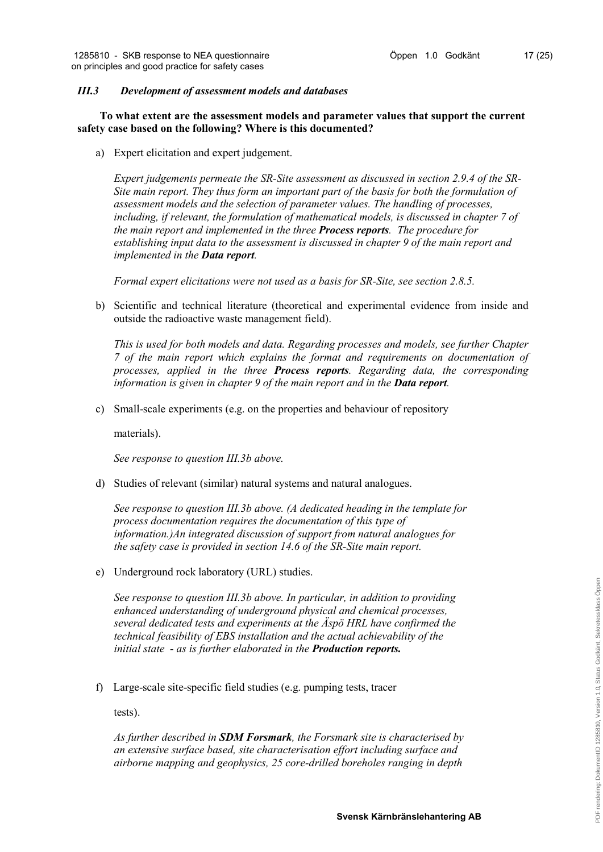# *III.3 Development of assessment models and databases*

**To what extent are the assessment models and parameter values that support the current safety case based on the following? Where is this documented?**

a) Expert elicitation and expert judgement.

*Expert judgements permeate the SR-Site assessment as discussed in section 2.9.4 of the SR-Site main report. They thus form an important part of the basis for both the formulation of assessment models and the selection of parameter values. The handling of processes, including, if relevant, the formulation of mathematical models, is discussed in chapter 7 of the main report and implemented in the three Process reports. The procedure for establishing input data to the assessment is discussed in chapter 9 of the main report and implemented in the Data report.* 

*Formal expert elicitations were not used as a basis for SR-Site, see section 2.8.5.*

b) Scientific and technical literature (theoretical and experimental evidence from inside and outside the radioactive waste management field).

*This is used for both models and data. Regarding processes and models, see further Chapter 7 of the main report which explains the format and requirements on documentation of processes, applied in the three Process reports. Regarding data, the corresponding information is given in chapter 9 of the main report and in the Data report.*

c) Small-scale experiments (e.g. on the properties and behaviour of repository

materials).

*See response to question III.3b above.*

d) Studies of relevant (similar) natural systems and natural analogues.

*See response to question III.3b above. (A dedicated heading in the template for process documentation requires the documentation of this type of information.)An integrated discussion of support from natural analogues for the safety case is provided in section 14.6 of the SR-Site main report.*

e) Underground rock laboratory (URL) studies.

*See response to question III.3b above. In particular, in addition to providing enhanced understanding of underground physical and chemical processes, several dedicated tests and experiments at the Äspö HRL have confirmed the technical feasibility of EBS installation and the actual achievability of the initial state - as is further elaborated in the Production reports.*

f) Large-scale site-specific field studies (e.g. pumping tests, tracer

tests).

*As further described in SDM Forsmark, the Forsmark site is characterised by an extensive surface based, site characterisation effort including surface and airborne mapping and geophysics, 25 core-drilled boreholes ranging in depth*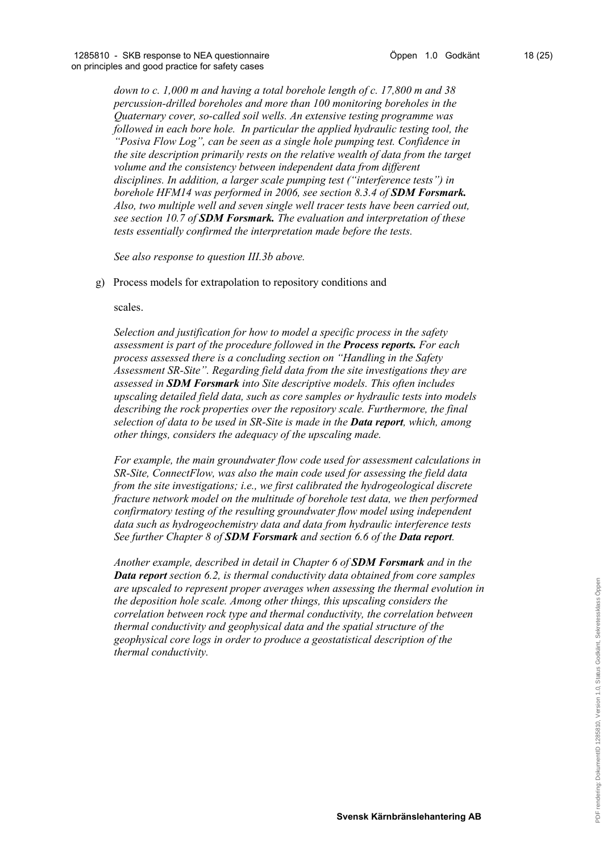*down to c. 1,000 m and having a total borehole length of c. 17,800 m and 38 percussion-drilled boreholes and more than 100 monitoring boreholes in the Quaternary cover, so-called soil wells. An extensive testing programme was*  followed in each bore hole. In particular the applied hydraulic testing tool, the *"Posiva Flow Log", can be seen as a single hole pumping test. Confidence in the site description primarily rests on the relative wealth of data from the target volume and the consistency between independent data from different disciplines. In addition, a larger scale pumping test ("interference tests") in borehole HFM14 was performed in 2006, see section 8.3.4 of SDM Forsmark. Also, two multiple well and seven single well tracer tests have been carried out, see section 10.7 of SDM Forsmark. The evaluation and interpretation of these tests essentially confirmed the interpretation made before the tests.*

*See also response to question III.3b above.*

g) Process models for extrapolation to repository conditions and

scales.

*Selection and justification for how to model a specific process in the safety assessment is part of the procedure followed in the Process reports. For each process assessed there is a concluding section on "Handling in the Safety Assessment SR-Site". Regarding field data from the site investigations they are assessed in SDM Forsmark into Site descriptive models. This often includes upscaling detailed field data, such as core samples or hydraulic tests into models describing the rock properties over the repository scale. Furthermore, the final selection of data to be used in SR-Site is made in the Data report, which, among other things, considers the adequacy of the upscaling made.* 

*For example, the main groundwater flow code used for assessment calculations in SR-Site, ConnectFlow, was also the main code used for assessing the field data from the site investigations; i.e., we first calibrated the hydrogeological discrete fracture network model on the multitude of borehole test data, we then performed confirmatory testing of the resulting groundwater flow model using independent data such as hydrogeochemistry data and data from hydraulic interference tests See further Chapter 8 of SDM Forsmark and section 6.6 of the Data report.* 

*Another example, described in detail in Chapter 6 of SDM Forsmark and in the Data report section 6.2, is thermal conductivity data obtained from core samples are upscaled to represent proper averages when assessing the thermal evolution in the deposition hole scale. Among other things, this upscaling considers the correlation between rock type and thermal conductivity, the correlation between thermal conductivity and geophysical data and the spatial structure of the geophysical core logs in order to produce a geostatistical description of the thermal conductivity.*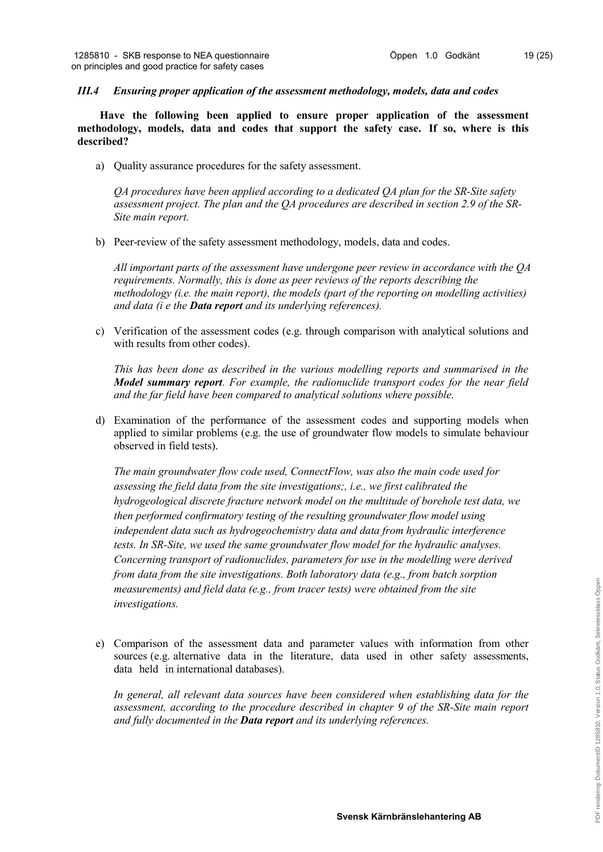### *III.4 Ensuring proper application of the assessment methodology, models, data and codes*

**Have the following been applied to ensure proper application of the assessment methodology, models, data and codes that support the safety case. If so, where is this described?**

a) Quality assurance procedures for the safety assessment.

*QA procedures have been applied according to a dedicated QA plan for the SR-Site safety assessment project. The plan and the QA procedures are described in section 2.9 of the SR-Site main report.* 

b) Peer-review of the safety assessment methodology, models, data and codes.

*All important parts of the assessment have undergone peer review in accordance with the QA requirements. Normally, this is done as peer reviews of the reports describing the methodology (i.e. the main report), the models (part of the reporting on modelling activities) and data (i e the Data report and its underlying references).*

c) Verification of the assessment codes (e.g. through comparison with analytical solutions and with results from other codes).

*This has been done as described in the various modelling reports and summarised in the Model summary report. For example, the radionuclide transport codes for the near field and the far field have been compared to analytical solutions where possible.*

d) Examination of the performance of the assessment codes and supporting models when applied to similar problems (e.g. the use of groundwater flow models to simulate behaviour observed in field tests).

*The main groundwater flow code used, ConnectFlow, was also the main code used for assessing the field data from the site investigations;, i.e., we first calibrated the hydrogeological discrete fracture network model on the multitude of borehole test data, we then performed confirmatory testing of the resulting groundwater flow model using independent data such as hydrogeochemistry data and data from hydraulic interference tests. In SR-Site, we used the same groundwater flow model for the hydraulic analyses. Concerning transport of radionuclides, parameters for use in the modelling were derived from data from the site investigations. Both laboratory data (e.g., from batch sorption measurements) and field data (e.g., from tracer tests) were obtained from the site investigations.*

e) Comparison of the assessment data and parameter values with information from other sources (e.g. alternative data in the literature, data used in other safety assessments, data held in international databases).

*In general, all relevant data sources have been considered when establishing data for the assessment, according to the procedure described in chapter 9 of the SR-Site main report and fully documented in the Data report and its underlying references.*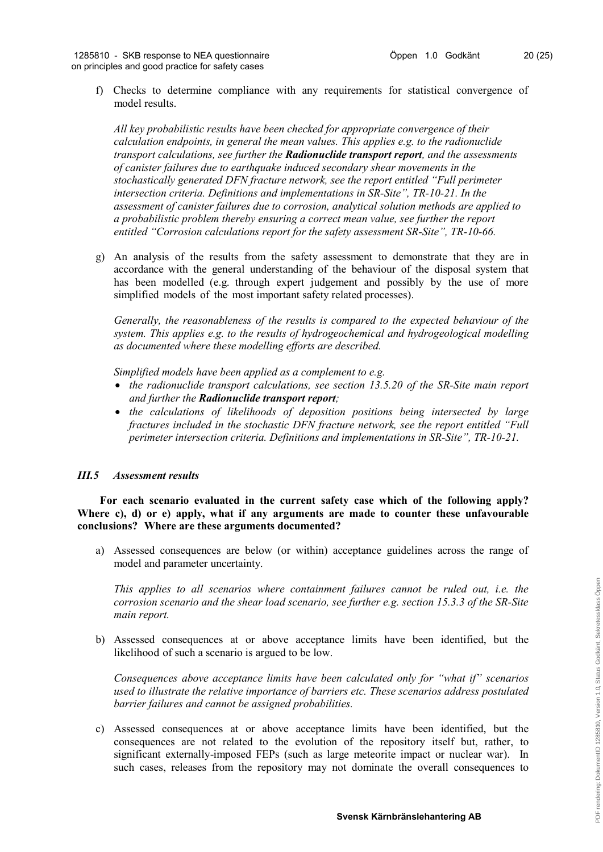f) Checks to determine compliance with any requirements for statistical convergence of model results.

*All key probabilistic results have been checked for appropriate convergence of their calculation endpoints, in general the mean values. This applies e.g. to the radionuclide transport calculations, see further the Radionuclide transport report, and the assessments of canister failures due to earthquake induced secondary shear movements in the stochastically generated DFN fracture network, see the report entitled "Full perimeter intersection criteria. Definitions and implementations in SR-Site", TR-10-21. In the assessment of canister failures due to corrosion, analytical solution methods are applied to a probabilistic problem thereby ensuring a correct mean value, see further the report entitled "Corrosion calculations report for the safety assessment SR-Site", TR-10-66.*

g) An analysis of the results from the safety assessment to demonstrate that they are in accordance with the general understanding of the behaviour of the disposal system that has been modelled (e.g. through expert judgement and possibly by the use of more simplified models of the most important safety related processes).

*Generally, the reasonableness of the results is compared to the expected behaviour of the system. This applies e.g. to the results of hydrogeochemical and hydrogeological modelling as documented where these modelling efforts are described.*

*Simplified models have been applied as a complement to e.g.* 

- *the radionuclide transport calculations, see section 13.5.20 of the SR-Site main report and further the Radionuclide transport report;*
- *the calculations of likelihoods of deposition positions being intersected by large fractures included in the stochastic DFN fracture network, see the report entitled "Full perimeter intersection criteria. Definitions and implementations in SR-Site", TR-10-21.*

# *III.5 Assessment results*

**For each scenario evaluated in the current safety case which of the following apply? Where c), d) or e) apply, what if any arguments are made to counter these unfavourable conclusions? Where are these arguments documented?**

a) Assessed consequences are below (or within) acceptance guidelines across the range of model and parameter uncertainty.

*This applies to all scenarios where containment failures cannot be ruled out, i.e. the corrosion scenario and the shear load scenario, see further e.g. section 15.3.3 of the SR-Site main report.* 

b) Assessed consequences at or above acceptance limits have been identified, but the likelihood of such a scenario is argued to be low.

*Consequences above acceptance limits have been calculated only for "what if" scenarios used to illustrate the relative importance of barriers etc. These scenarios address postulated barrier failures and cannot be assigned probabilities.*

c) Assessed consequences at or above acceptance limits have been identified, but the consequences are not related to the evolution of the repository itself but, rather, to significant externally-imposed FEPs (such as large meteorite impact or nuclear war). In such cases, releases from the repository may not dominate the overall consequences to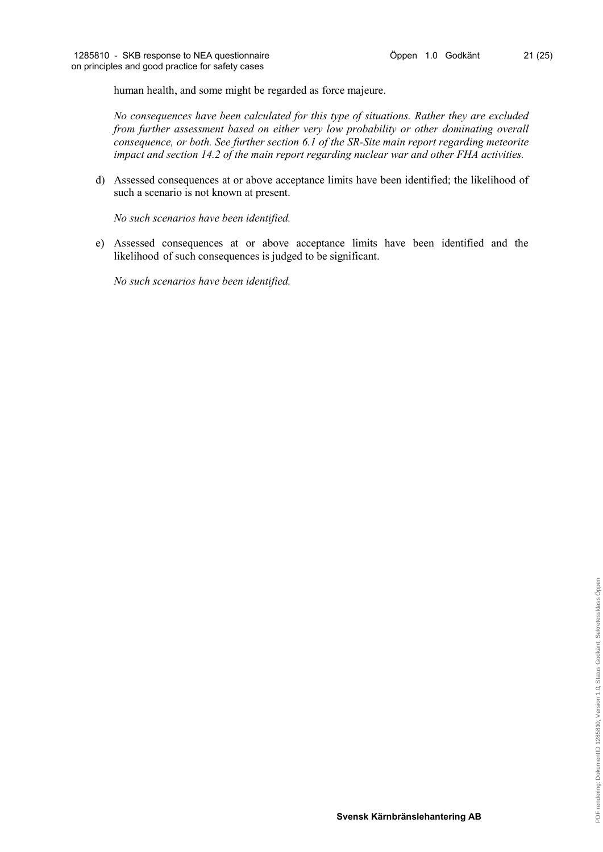human health, and some might be regarded as force majeure.

*No consequences have been calculated for this type of situations. Rather they are excluded from further assessment based on either very low probability or other dominating overall consequence, or both. See further section 6.1 of the SR-Site main report regarding meteorite impact and section 14.2 of the main report regarding nuclear war and other FHA activities.*

d) Assessed consequences at or above acceptance limits have been identified; the likelihood of such a scenario is not known at present.

*No such scenarios have been identified.*

e) Assessed consequences at or above acceptance limits have been identified and the likelihood of such consequences is judged to be significant.

*No such scenarios have been identified.*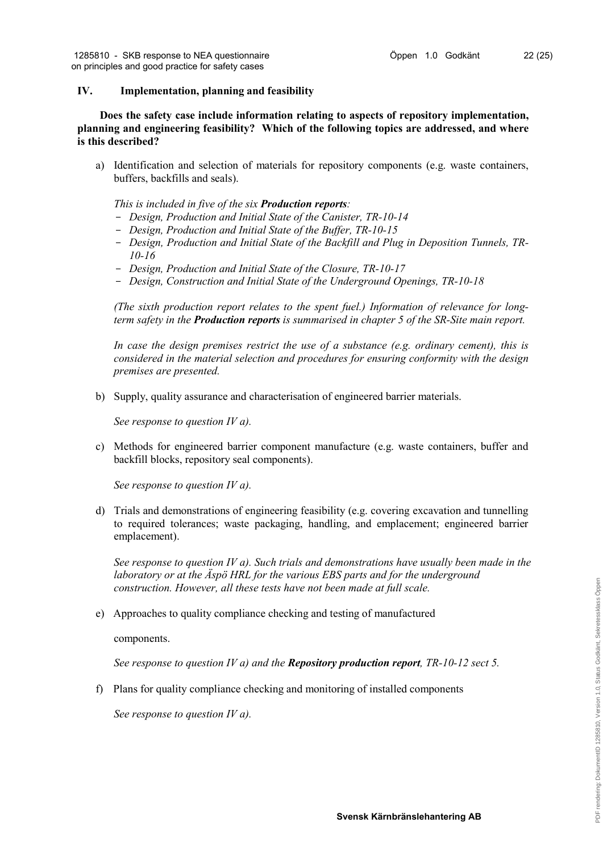# **IV. Implementation, planning and feasibility**

**Does the safety case include information relating to aspects of repository implementation, planning and engineering feasibility? Which of the following topics are addressed, and where is this described?**

a) Identification and selection of materials for repository components (e.g. waste containers, buffers, backfills and seals).

*This is included in five of the six Production reports:*

- *Design, Production and Initial State of the Canister, TR-10-14*
- *Design, Production and Initial State of the Buffer, TR-10-15*
- *Design, Production and Initial State of the Backfill and Plug in Deposition Tunnels, TR-10-16*
- *Design, Production and Initial State of the Closure, TR-10-17*
- *Design, Construction and Initial State of the Underground Openings, TR-10-18*

*(The sixth production report relates to the spent fuel.) Information of relevance for longterm safety in the Production reports is summarised in chapter 5 of the SR-Site main report.*

*In case the design premises restrict the use of a substance (e.g. ordinary cement), this is considered in the material selection and procedures for ensuring conformity with the design premises are presented.*

b) Supply, quality assurance and characterisation of engineered barrier materials.

*See response to question IV a).*

c) Methods for engineered barrier component manufacture (e.g. waste containers, buffer and backfill blocks, repository seal components).

*See response to question IV a).*

d) Trials and demonstrations of engineering feasibility (e.g. covering excavation and tunnelling to required tolerances; waste packaging, handling, and emplacement; engineered barrier emplacement).

*See response to question IV a). Such trials and demonstrations have usually been made in the laboratory or at the Äspö HRL for the various EBS parts and for the underground construction. However, all these tests have not been made at full scale.* 

e) Approaches to quality compliance checking and testing of manufactured

components.

*See response to question IV a) and the Repository production report, TR-10-12 sect 5.*

f) Plans for quality compliance checking and monitoring of installed components

*See response to question IV a).*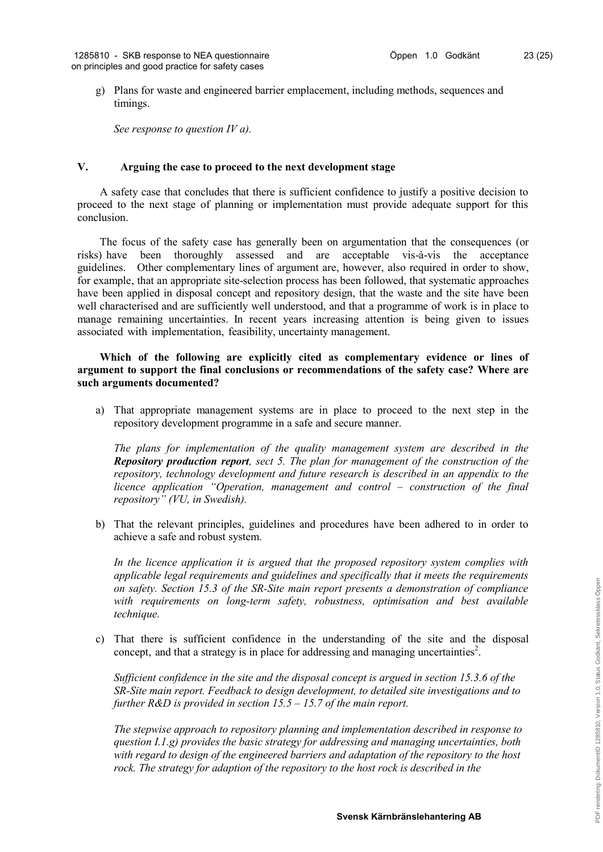g) Plans for waste and engineered barrier emplacement, including methods, sequences and timings.

*See response to question IV a).*

### **V. Arguing the case to proceed to the next development stage**

A safety case that concludes that there is sufficient confidence to justify a positive decision to proceed to the next stage of planning or implementation must provide adequate support for this conclusion.

The focus of the safety case has generally been on argumentation that the consequences (or risks) have been thoroughly assessed and are acceptable vis-à-vis the acceptance guidelines. Other complementary lines of argument are, however, also required in order to show, for example, that an appropriate site-selection process has been followed, that systematic approaches have been applied in disposal concept and repository design, that the waste and the site have been well characterised and are sufficiently well understood, and that a programme of work is in place to manage remaining uncertainties. In recent years increasing attention is being given to issues associated with implementation, feasibility, uncertainty management.

### **Which of the following are explicitly cited as complementary evidence or lines of argument to support the final conclusions or recommendations of the safety case? Where are such arguments documented?**

a) That appropriate management systems are in place to proceed to the next step in the repository development programme in a safe and secure manner.

*The plans for implementation of the quality management system are described in the Repository production report, sect 5. The plan for management of the construction of the repository, technology development and future research is described in an appendix to the licence application "Operation, management and control – construction of the final repository" (VU, in Swedish).*

b) That the relevant principles, guidelines and procedures have been adhered to in order to achieve a safe and robust system.

*In the licence application it is argued that the proposed repository system complies with applicable legal requirements and guidelines and specifically that it meets the requirements on safety. Section 15.3 of the SR-Site main report presents a demonstration of compliance with requirements on long-term safety, robustness, optimisation and best available technique.*

c) That there is sufficient confidence in the understanding of the site and the disposal concept, and that a strategy is in place for addressing and managing uncertainties<sup>2</sup>.

*Sufficient confidence in the site and the disposal concept is argued in section 15.3.6 of the SR-Site main report. Feedback to design development, to detailed site investigations and to further R&D is provided in section 15.5 – 15.7 of the main report.* 

*The stepwise approach to repository planning and implementation described in response to question I.1.g) provides the basic strategy for addressing and managing uncertainties, both with regard to design of the engineered barriers and adaptation of the repository to the host rock. The strategy for adaption of the repository to the host rock is described in the*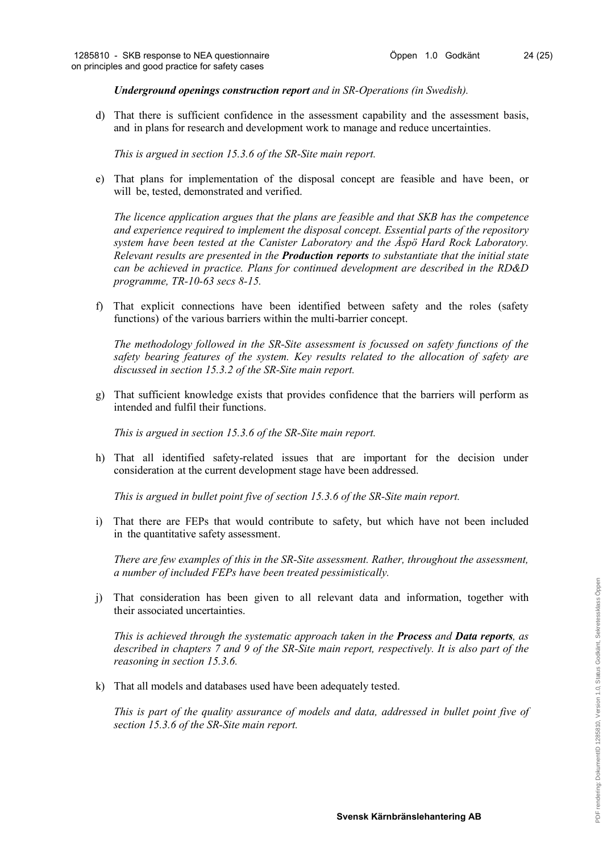*Underground openings construction report and in SR-Operations (in Swedish).*

d) That there is sufficient confidence in the assessment capability and the assessment basis, and in plans for research and development work to manage and reduce uncertainties.

*This is argued in section 15.3.6 of the SR-Site main report.* 

e) That plans for implementation of the disposal concept are feasible and have been, or will be, tested, demonstrated and verified.

*The licence application argues that the plans are feasible and that SKB has the competence and experience required to implement the disposal concept. Essential parts of the repository system have been tested at the Canister Laboratory and the Äspö Hard Rock Laboratory. Relevant results are presented in the Production reports to substantiate that the initial state can be achieved in practice. Plans for continued development are described in the RD&D programme, TR-10-63 secs 8-15.* 

f) That explicit connections have been identified between safety and the roles (safety functions) of the various barriers within the multi-barrier concept.

*The methodology followed in the SR-Site assessment is focussed on safety functions of the safety bearing features of the system. Key results related to the allocation of safety are discussed in section 15.3.2 of the SR-Site main report.*

g) That sufficient knowledge exists that provides confidence that the barriers will perform as intended and fulfil their functions.

*This is argued in section 15.3.6 of the SR-Site main report.* 

h) That all identified safety-related issues that are important for the decision under consideration at the current development stage have been addressed.

*This is argued in bullet point five of section 15.3.6 of the SR-Site main report.* 

i) That there are FEPs that would contribute to safety, but which have not been included in the quantitative safety assessment.

*There are few examples of this in the SR-Site assessment. Rather, throughout the assessment, a number of included FEPs have been treated pessimistically.*

j) That consideration has been given to all relevant data and information, together with their associated uncertainties.

*This is achieved through the systematic approach taken in the Process and Data reports, as described in chapters 7 and 9 of the SR-Site main report, respectively. It is also part of the reasoning in section 15.3.6.*

k) That all models and databases used have been adequately tested.

*This is part of the quality assurance of models and data, addressed in bullet point five of section 15.3.6 of the SR-Site main report.*